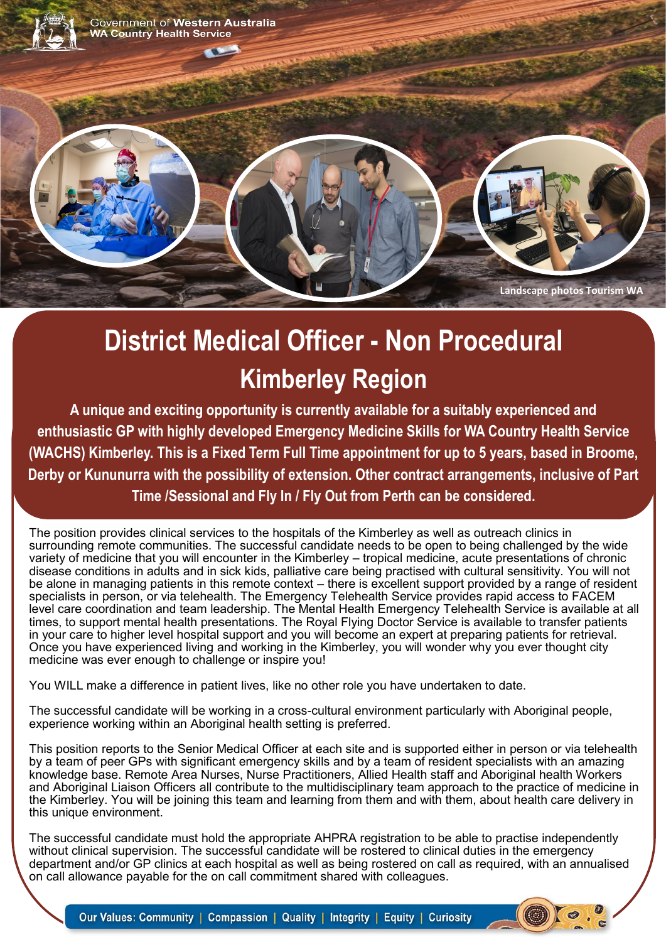

# **District Medical Officer - Non Procedural Kimberley Region**

**A unique and exciting opportunity is currently available for a suitably experienced and enthusiastic GP with highly developed Emergency Medicine Skills for WA Country Health Service (WACHS) Kimberley. This is a Fixed Term Full Time appointment for up to 5 years, based in Broome, Derby or Kununurra with the possibility of extension. Other contract arrangements, inclusive of Part Time /Sessional and Fly In / Fly Out from Perth can be considered.**

The position provides clinical services to the hospitals of the Kimberley as well as outreach clinics in surrounding remote communities. The successful candidate needs to be open to being challenged by the wide variety of medicine that you will encounter in the Kimberley – tropical medicine, acute presentations of chronic disease conditions in adults and in sick kids, palliative care being practised with cultural sensitivity. You will not be alone in managing patients in this remote context – there is excellent support provided by a range of resident specialists in person, or via telehealth. The Emergency Telehealth Service provides rapid access to FACEM level care coordination and team leadership. The Mental Health Emergency Telehealth Service is available at all times, to support mental health presentations. The Royal Flying Doctor Service is available to transfer patients in your care to higher level hospital support and you will become an expert at preparing patients for retrieval. Once you have experienced living and working in the Kimberley, you will wonder why you ever thought city medicine was ever enough to challenge or inspire you!

You WILL make a difference in patient lives, like no other role you have undertaken to date.

The successful candidate will be working in a cross-cultural environment particularly with Aboriginal people, experience working within an Aboriginal health setting is preferred.

This position reports to the Senior Medical Officer at each site and is supported either in person or via telehealth by a team of peer GPs with significant emergency skills and by a team of resident specialists with an amazing knowledge base. Remote Area Nurses, Nurse Practitioners, Allied Health staff and Aboriginal health Workers and Aboriginal Liaison Officers all contribute to the multidisciplinary team approach to the practice of medicine in the Kimberley. You will be joining this team and learning from them and with them, about health care delivery in this unique environment.

The successful candidate must hold the appropriate AHPRA registration to be able to practise independently without clinical supervision. The successful candidate will be rostered to clinical duties in the emergency department and/or GP clinics at each hospital as well as being rostered on call as required, with an annualised on call allowance payable for the on call commitment shared with colleagues.

Our Values: Community | Compassion | Quality | Integrity | Equity | Curiosity